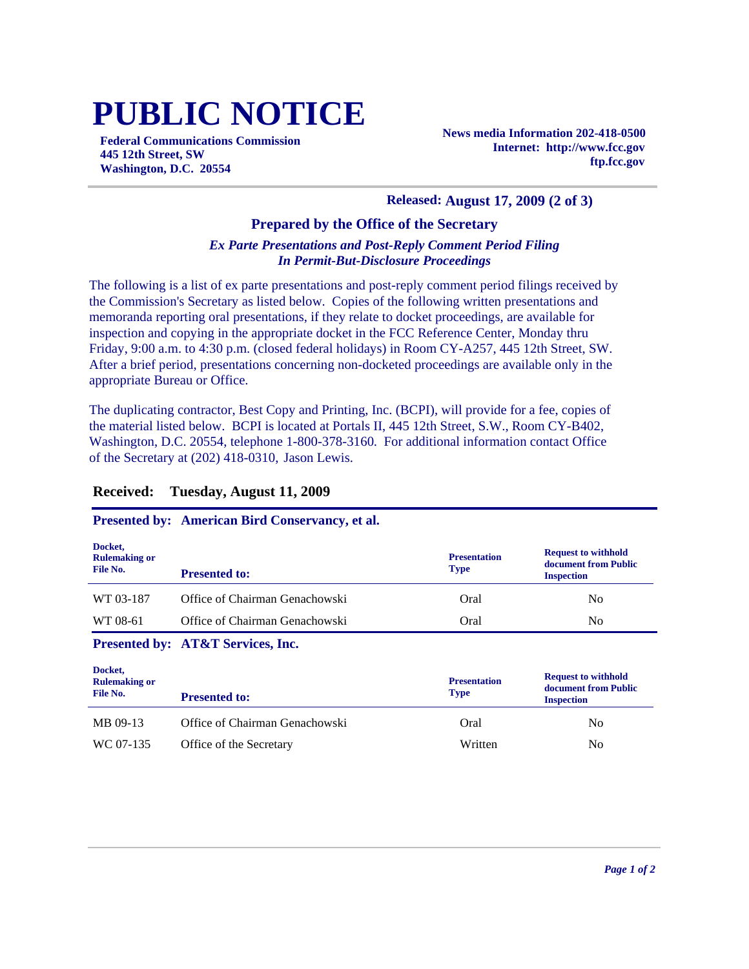# **PUBLIC NOTICE**

**Federal Communications Commission 445 12th Street, SW Washington, D.C. 20554**

**News media Information 202-418-0500 Internet: http://www.fcc.gov ftp.fcc.gov**

#### **Released: August 17, 2009 (2 of 3)**

#### **Prepared by the Office of the Secretary**

#### *Ex Parte Presentations and Post-Reply Comment Period Filing In Permit-But-Disclosure Proceedings*

The following is a list of ex parte presentations and post-reply comment period filings received by the Commission's Secretary as listed below. Copies of the following written presentations and memoranda reporting oral presentations, if they relate to docket proceedings, are available for inspection and copying in the appropriate docket in the FCC Reference Center, Monday thru Friday, 9:00 a.m. to 4:30 p.m. (closed federal holidays) in Room CY-A257, 445 12th Street, SW. After a brief period, presentations concerning non-docketed proceedings are available only in the appropriate Bureau or Office.

The duplicating contractor, Best Copy and Printing, Inc. (BCPI), will provide for a fee, copies of the material listed below. BCPI is located at Portals II, 445 12th Street, S.W., Room CY-B402, Washington, D.C. 20554, telephone 1-800-378-3160. For additional information contact Office of the Secretary at (202) 418-0310, Jason Lewis.

#### **Received: Tuesday, August 11, 2009**

#### **Presented by: American Bird Conservancy, et al.**

| Docket,<br><b>Rulemaking or</b><br>File No. | <b>Presented to:</b>           | <b>Presentation</b><br><b>Type</b> | <b>Request to withhold</b><br>document from Public<br><b>Inspection</b> |
|---------------------------------------------|--------------------------------|------------------------------------|-------------------------------------------------------------------------|
| WT 03-187                                   | Office of Chairman Genachowski | Oral                               | N <sub>0</sub>                                                          |
| WT 08-61                                    | Office of Chairman Genachowski | Oral                               | No                                                                      |

#### **Presented by: AT&T Services, Inc.**

| Docket,<br><b>Rulemaking or</b><br>File No. | <b>Presented to:</b>           | <b>Presentation</b><br><b>Type</b> | <b>Request to withhold</b><br>document from Public<br><b>Inspection</b> |
|---------------------------------------------|--------------------------------|------------------------------------|-------------------------------------------------------------------------|
| MB 09-13                                    | Office of Chairman Genachowski | Oral                               | No                                                                      |
| WC 07-135                                   | Office of the Secretary        | Written                            | No                                                                      |